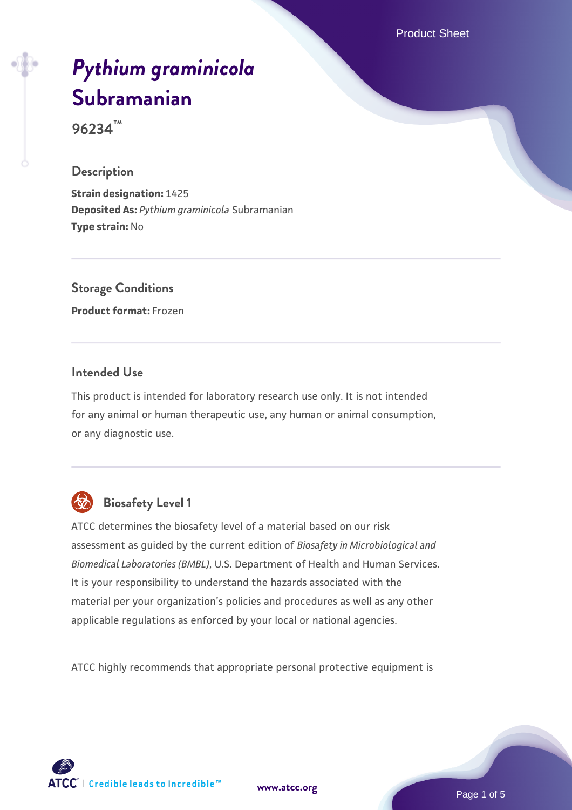Product Sheet

# *[Pythium graminicola](https://www.atcc.org/products/96234)* **[Subramanian](https://www.atcc.org/products/96234)**

**96234™**

#### **Description**

**Strain designation:** 1425 **Deposited As:** *Pythium graminicola* Subramanian **Type strain:** No

**Storage Conditions Product format:** Frozen

#### **Intended Use**

This product is intended for laboratory research use only. It is not intended for any animal or human therapeutic use, any human or animal consumption, or any diagnostic use.



# **Biosafety Level 1**

ATCC determines the biosafety level of a material based on our risk assessment as guided by the current edition of *Biosafety in Microbiological and Biomedical Laboratories (BMBL)*, U.S. Department of Health and Human Services. It is your responsibility to understand the hazards associated with the material per your organization's policies and procedures as well as any other applicable regulations as enforced by your local or national agencies.

ATCC highly recommends that appropriate personal protective equipment is

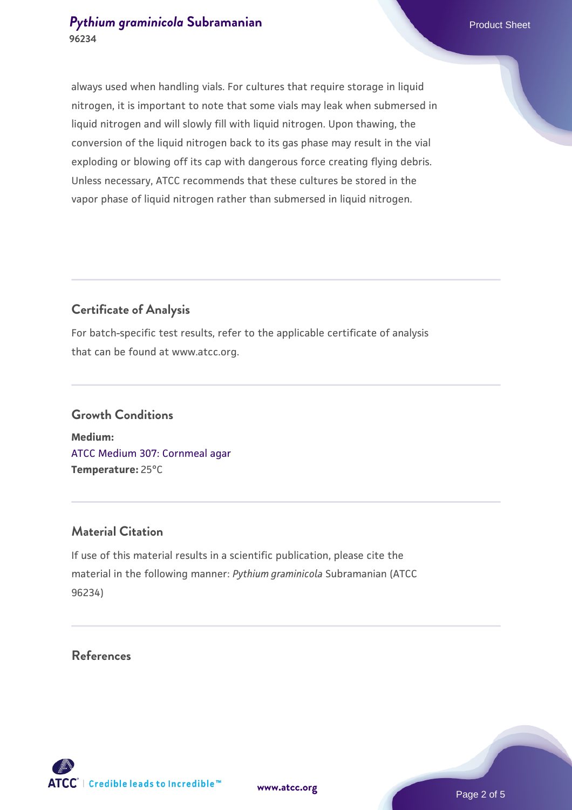#### **[Pythium graminicola](https://www.atcc.org/products/96234) [Subramanian](https://www.atcc.org/products/96234)** Product Sheet **96234**

always used when handling vials. For cultures that require storage in liquid nitrogen, it is important to note that some vials may leak when submersed in liquid nitrogen and will slowly fill with liquid nitrogen. Upon thawing, the conversion of the liquid nitrogen back to its gas phase may result in the vial exploding or blowing off its cap with dangerous force creating flying debris. Unless necessary, ATCC recommends that these cultures be stored in the vapor phase of liquid nitrogen rather than submersed in liquid nitrogen.

### **Certificate of Analysis**

For batch-specific test results, refer to the applicable certificate of analysis that can be found at www.atcc.org.

# **Growth Conditions**

**Medium:**  [ATCC Medium 307: Cornmeal agar](https://www.atcc.org/-/media/product-assets/documents/microbial-media-formulations/3/0/7/atcc-medium-307.pdf?rev=5cd8aaa5fcde44f5873396cc2a06f590) **Temperature:** 25°C

### **Material Citation**

If use of this material results in a scientific publication, please cite the material in the following manner: *Pythium graminicola* Subramanian (ATCC 96234)

### **References**

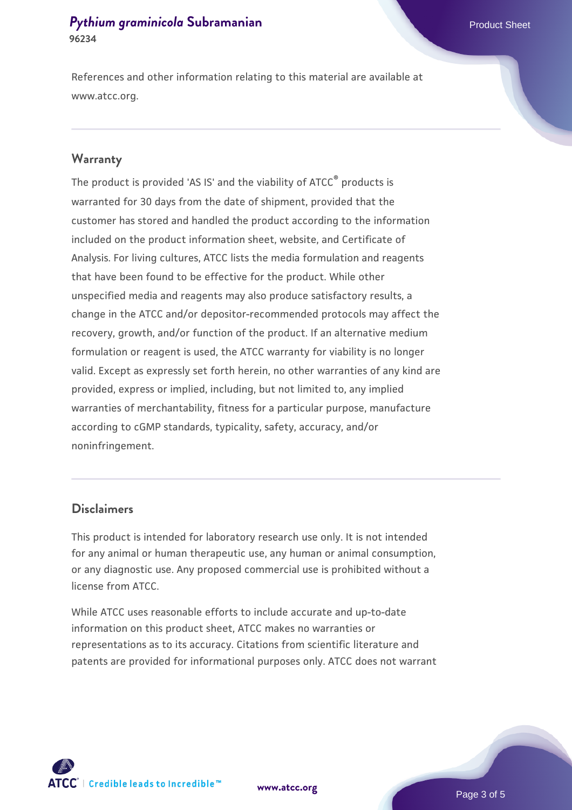#### **[Pythium graminicola](https://www.atcc.org/products/96234) [Subramanian](https://www.atcc.org/products/96234)** Product Sheet **96234**

References and other information relating to this material are available at www.atcc.org.

#### **Warranty**

The product is provided 'AS IS' and the viability of ATCC® products is warranted for 30 days from the date of shipment, provided that the customer has stored and handled the product according to the information included on the product information sheet, website, and Certificate of Analysis. For living cultures, ATCC lists the media formulation and reagents that have been found to be effective for the product. While other unspecified media and reagents may also produce satisfactory results, a change in the ATCC and/or depositor-recommended protocols may affect the recovery, growth, and/or function of the product. If an alternative medium formulation or reagent is used, the ATCC warranty for viability is no longer valid. Except as expressly set forth herein, no other warranties of any kind are provided, express or implied, including, but not limited to, any implied warranties of merchantability, fitness for a particular purpose, manufacture according to cGMP standards, typicality, safety, accuracy, and/or noninfringement.

#### **Disclaimers**

This product is intended for laboratory research use only. It is not intended for any animal or human therapeutic use, any human or animal consumption, or any diagnostic use. Any proposed commercial use is prohibited without a license from ATCC.

While ATCC uses reasonable efforts to include accurate and up-to-date information on this product sheet, ATCC makes no warranties or representations as to its accuracy. Citations from scientific literature and patents are provided for informational purposes only. ATCC does not warrant





Page 3 of 5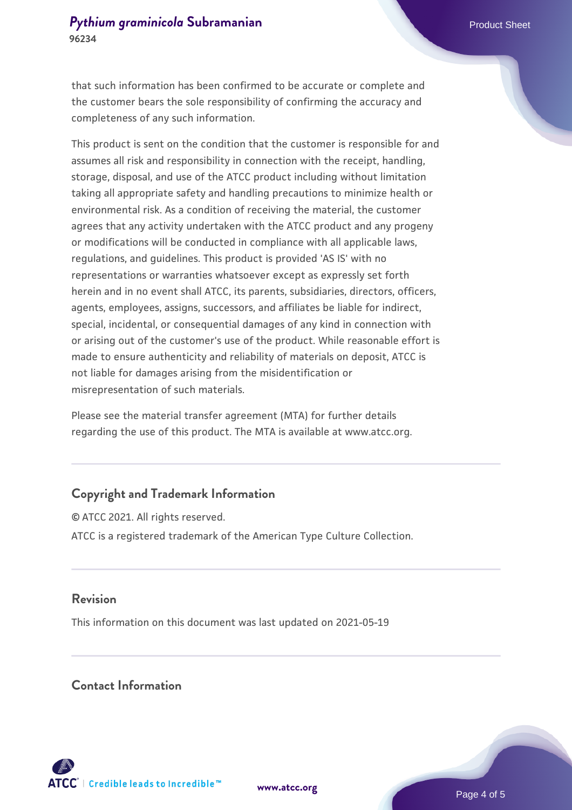that such information has been confirmed to be accurate or complete and the customer bears the sole responsibility of confirming the accuracy and completeness of any such information.

This product is sent on the condition that the customer is responsible for and assumes all risk and responsibility in connection with the receipt, handling, storage, disposal, and use of the ATCC product including without limitation taking all appropriate safety and handling precautions to minimize health or environmental risk. As a condition of receiving the material, the customer agrees that any activity undertaken with the ATCC product and any progeny or modifications will be conducted in compliance with all applicable laws, regulations, and guidelines. This product is provided 'AS IS' with no representations or warranties whatsoever except as expressly set forth herein and in no event shall ATCC, its parents, subsidiaries, directors, officers, agents, employees, assigns, successors, and affiliates be liable for indirect, special, incidental, or consequential damages of any kind in connection with or arising out of the customer's use of the product. While reasonable effort is made to ensure authenticity and reliability of materials on deposit, ATCC is not liable for damages arising from the misidentification or misrepresentation of such materials.

Please see the material transfer agreement (MTA) for further details regarding the use of this product. The MTA is available at www.atcc.org.

### **Copyright and Trademark Information**

© ATCC 2021. All rights reserved. ATCC is a registered trademark of the American Type Culture Collection.

#### **Revision**

This information on this document was last updated on 2021-05-19

#### **Contact Information**